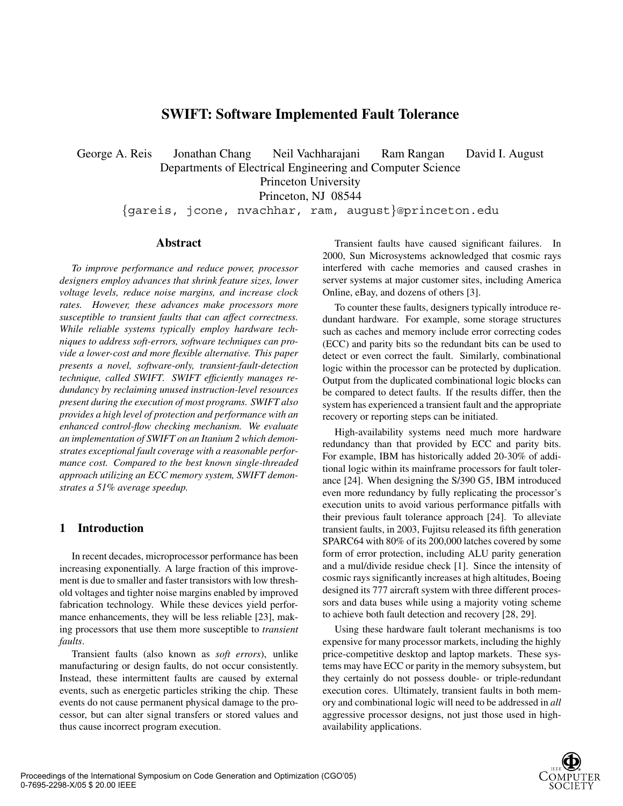# **SWIFT: Software Implemented Fault Tolerance**

George A. Reis Jonathan Chang Neil Vachharajani Ram Rangan David I. August Departments of Electrical Engineering and Computer Science Princeton University Princeton, NJ 08544

*{*gareis, jcone, nvachhar, ram, august*}*@princeton.edu

## **Abstract**

*To improve performance and reduce power, processor designers employ advances that shrink feature sizes, lower voltage levels, reduce noise margins, and increase clock rates. However, these advances make processors more susceptible to transient faults that can affect correctness. While reliable systems typically employ hardware techniques to address soft-errors, software techniques can provide a lower-cost and more flexible alternative. This paper presents a novel, software-only, transient-fault-detection technique, called SWIFT. SWIFT efficiently manages redundancy by reclaiming unused instruction-level resources present during the execution of most programs. SWIFT also provides a high level of protection and performance with an enhanced control-flow checking mechanism. We evaluate an implementation of SWIFT on an Itanium 2 which demonstrates exceptional fault coverage with a reasonable performance cost. Compared to the best known single-threaded approach utilizing an ECC memory system, SWIFT demonstrates a 51% average speedup.*

# **1 Introduction**

In recent decades, microprocessor performance has been increasing exponentially. A large fraction of this improvement is due to smaller and faster transistors with low threshold voltages and tighter noise margins enabled by improved fabrication technology. While these devices yield performance enhancements, they will be less reliable [23], making processors that use them more susceptible to *transient faults*.

Transient faults (also known as *soft errors*), unlike manufacturing or design faults, do not occur consistently. Instead, these intermittent faults are caused by external events, such as energetic particles striking the chip. These events do not cause permanent physical damage to the processor, but can alter signal transfers or stored values and thus cause incorrect program execution.

Transient faults have caused significant failures. In 2000, Sun Microsystems acknowledged that cosmic rays interfered with cache memories and caused crashes in server systems at major customer sites, including America Online, eBay, and dozens of others [3].

To counter these faults, designers typically introduce redundant hardware. For example, some storage structures such as caches and memory include error correcting codes (ECC) and parity bits so the redundant bits can be used to detect or even correct the fault. Similarly, combinational logic within the processor can be protected by duplication. Output from the duplicated combinational logic blocks can be compared to detect faults. If the results differ, then the system has experienced a transient fault and the appropriate recovery or reporting steps can be initiated.

High-availability systems need much more hardware redundancy than that provided by ECC and parity bits. For example, IBM has historically added 20-30% of additional logic within its mainframe processors for fault tolerance [24]. When designing the S/390 G5, IBM introduced even more redundancy by fully replicating the processor's execution units to avoid various performance pitfalls with their previous fault tolerance approach [24]. To alleviate transient faults, in 2003, Fujitsu released its fifth generation SPARC64 with 80% of its 200,000 latches covered by some form of error protection, including ALU parity generation and a mul/divide residue check [1]. Since the intensity of cosmic rays significantly increases at high altitudes, Boeing designed its 777 aircraft system with three different processors and data buses while using a majority voting scheme to achieve both fault detection and recovery [28, 29].

Using these hardware fault tolerant mechanisms is too expensive for many processor markets, including the highly price-competitive desktop and laptop markets. These systems may have ECC or parity in the memory subsystem, but they certainly do not possess double- or triple-redundant execution cores. Ultimately, transient faults in both memory and combinational logic will need to be addressed in *all* aggressive processor designs, not just those used in highavailability applications.

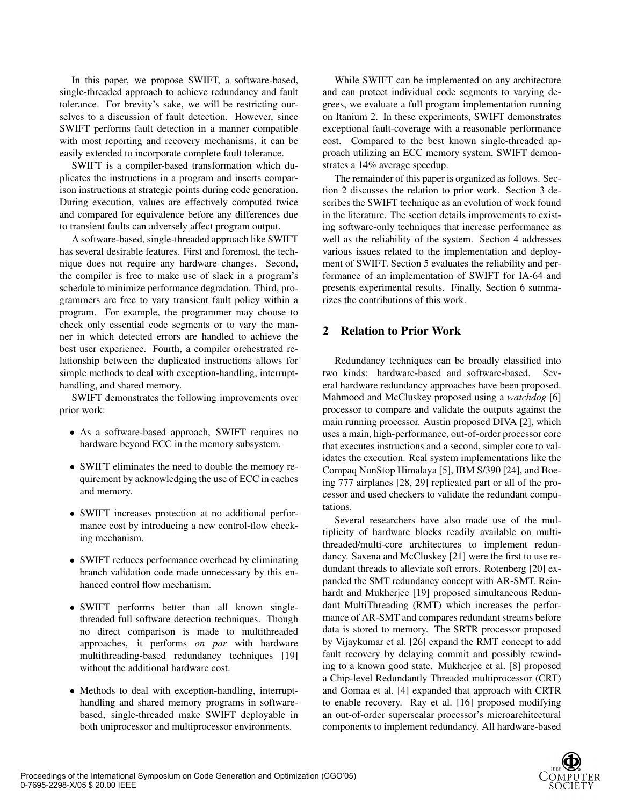In this paper, we propose SWIFT, a software-based, single-threaded approach to achieve redundancy and fault tolerance. For brevity's sake, we will be restricting ourselves to a discussion of fault detection. However, since SWIFT performs fault detection in a manner compatible with most reporting and recovery mechanisms, it can be easily extended to incorporate complete fault tolerance.

SWIFT is a compiler-based transformation which duplicates the instructions in a program and inserts comparison instructions at strategic points during code generation. During execution, values are effectively computed twice and compared for equivalence before any differences due to transient faults can adversely affect program output.

A software-based, single-threaded approach like SWIFT has several desirable features. First and foremost, the technique does not require any hardware changes. Second, the compiler is free to make use of slack in a program's schedule to minimize performance degradation. Third, programmers are free to vary transient fault policy within a program. For example, the programmer may choose to check only essential code segments or to vary the manner in which detected errors are handled to achieve the best user experience. Fourth, a compiler orchestrated relationship between the duplicated instructions allows for simple methods to deal with exception-handling, interrupthandling, and shared memory.

SWIFT demonstrates the following improvements over prior work:

- As a software-based approach, SWIFT requires no hardware beyond ECC in the memory subsystem.
- SWIFT eliminates the need to double the memory requirement by acknowledging the use of ECC in caches and memory.
- *•* SWIFT increases protection at no additional performance cost by introducing a new control-flow checking mechanism.
- *•* SWIFT reduces performance overhead by eliminating branch validation code made unnecessary by this enhanced control flow mechanism.
- SWIFT performs better than all known singlethreaded full software detection techniques. Though no direct comparison is made to multithreaded approaches, it performs *on par* with hardware multithreading-based redundancy techniques [19] without the additional hardware cost.
- Methods to deal with exception-handling, interrupthandling and shared memory programs in softwarebased, single-threaded make SWIFT deployable in both uniprocessor and multiprocessor environments.

While SWIFT can be implemented on any architecture and can protect individual code segments to varying degrees, we evaluate a full program implementation running on Itanium 2. In these experiments, SWIFT demonstrates exceptional fault-coverage with a reasonable performance cost. Compared to the best known single-threaded approach utilizing an ECC memory system, SWIFT demonstrates a 14% average speedup.

The remainder of this paper is organized as follows. Section 2 discusses the relation to prior work. Section 3 describes the SWIFT technique as an evolution of work found in the literature. The section details improvements to existing software-only techniques that increase performance as well as the reliability of the system. Section 4 addresses various issues related to the implementation and deployment of SWIFT. Section 5 evaluates the reliability and performance of an implementation of SWIFT for IA-64 and presents experimental results. Finally, Section 6 summarizes the contributions of this work.

## **2 Relation to Prior Work**

Redundancy techniques can be broadly classified into two kinds: hardware-based and software-based. Several hardware redundancy approaches have been proposed. Mahmood and McCluskey proposed using a *watchdog* [6] processor to compare and validate the outputs against the main running processor. Austin proposed DIVA [2], which uses a main, high-performance, out-of-order processor core that executes instructions and a second, simpler core to validates the execution. Real system implementations like the Compaq NonStop Himalaya [5], IBM S/390 [24], and Boeing 777 airplanes [28, 29] replicated part or all of the processor and used checkers to validate the redundant computations.

Several researchers have also made use of the multiplicity of hardware blocks readily available on multithreaded/multi-core architectures to implement redundancy. Saxena and McCluskey [21] were the first to use redundant threads to alleviate soft errors. Rotenberg [20] expanded the SMT redundancy concept with AR-SMT. Reinhardt and Mukherjee [19] proposed simultaneous Redundant MultiThreading (RMT) which increases the performance of AR-SMT and compares redundant streams before data is stored to memory. The SRTR processor proposed by Vijaykumar et al. [26] expand the RMT concept to add fault recovery by delaying commit and possibly rewinding to a known good state. Mukherjee et al. [8] proposed a Chip-level Redundantly Threaded multiprocessor (CRT) and Gomaa et al. [4] expanded that approach with CRTR to enable recovery. Ray et al. [16] proposed modifying an out-of-order superscalar processor's microarchitectural components to implement redundancy. All hardware-based

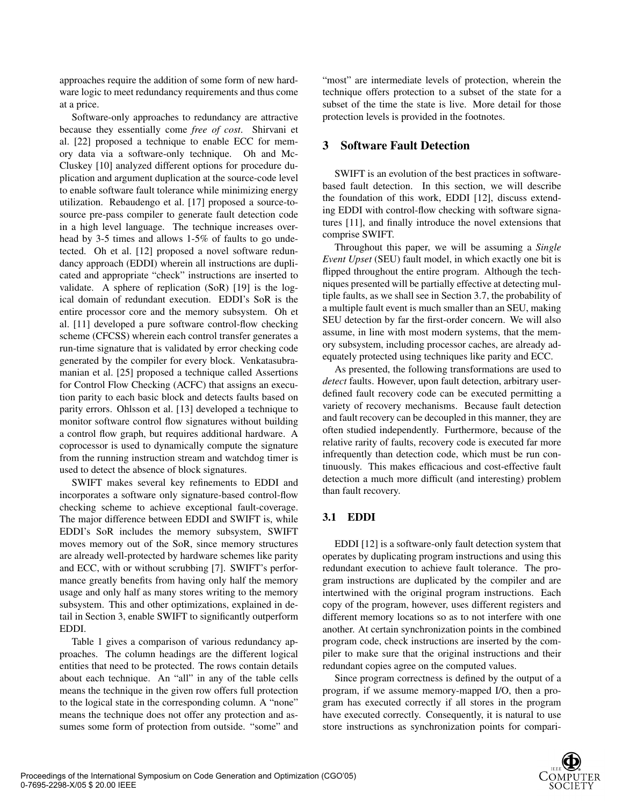approaches require the addition of some form of new hardware logic to meet redundancy requirements and thus come at a price.

Software-only approaches to redundancy are attractive because they essentially come *free of cost*. Shirvani et al. [22] proposed a technique to enable ECC for memory data via a software-only technique. Oh and Mc-Cluskey [10] analyzed different options for procedure duplication and argument duplication at the source-code level to enable software fault tolerance while minimizing energy utilization. Rebaudengo et al. [17] proposed a source-tosource pre-pass compiler to generate fault detection code in a high level language. The technique increases overhead by 3-5 times and allows 1-5% of faults to go undetected. Oh et al. [12] proposed a novel software redundancy approach (EDDI) wherein all instructions are duplicated and appropriate "check" instructions are inserted to validate. A sphere of replication (SoR) [19] is the logical domain of redundant execution. EDDI's SoR is the entire processor core and the memory subsystem. Oh et al. [11] developed a pure software control-flow checking scheme (CFCSS) wherein each control transfer generates a run-time signature that is validated by error checking code generated by the compiler for every block. Venkatasubramanian et al. [25] proposed a technique called Assertions for Control Flow Checking (ACFC) that assigns an execution parity to each basic block and detects faults based on parity errors. Ohlsson et al. [13] developed a technique to monitor software control flow signatures without building a control flow graph, but requires additional hardware. A coprocessor is used to dynamically compute the signature from the running instruction stream and watchdog timer is used to detect the absence of block signatures.

SWIFT makes several key refinements to EDDI and incorporates a software only signature-based control-flow checking scheme to achieve exceptional fault-coverage. The major difference between EDDI and SWIFT is, while EDDI's SoR includes the memory subsystem, SWIFT moves memory out of the SoR, since memory structures are already well-protected by hardware schemes like parity and ECC, with or without scrubbing [7]. SWIFT's performance greatly benefits from having only half the memory usage and only half as many stores writing to the memory subsystem. This and other optimizations, explained in detail in Section 3, enable SWIFT to significantly outperform EDDI.

Table 1 gives a comparison of various redundancy approaches. The column headings are the different logical entities that need to be protected. The rows contain details about each technique. An "all" in any of the table cells means the technique in the given row offers full protection to the logical state in the corresponding column. A "none" means the technique does not offer any protection and assumes some form of protection from outside. "some" and

"most" are intermediate levels of protection, wherein the technique offers protection to a subset of the state for a subset of the time the state is live. More detail for those protection levels is provided in the footnotes.

# **3 Software Fault Detection**

SWIFT is an evolution of the best practices in softwarebased fault detection. In this section, we will describe the foundation of this work, EDDI [12], discuss extending EDDI with control-flow checking with software signatures [11], and finally introduce the novel extensions that comprise SWIFT.

Throughout this paper, we will be assuming a *Single Event Upset* (SEU) fault model, in which exactly one bit is flipped throughout the entire program. Although the techniques presented will be partially effective at detecting multiple faults, as we shall see in Section 3.7, the probability of a multiple fault event is much smaller than an SEU, making SEU detection by far the first-order concern. We will also assume, in line with most modern systems, that the memory subsystem, including processor caches, are already adequately protected using techniques like parity and ECC.

As presented, the following transformations are used to *detect* faults. However, upon fault detection, arbitrary userdefined fault recovery code can be executed permitting a variety of recovery mechanisms. Because fault detection and fault recovery can be decoupled in this manner, they are often studied independently. Furthermore, because of the relative rarity of faults, recovery code is executed far more infrequently than detection code, which must be run continuously. This makes efficacious and cost-effective fault detection a much more difficult (and interesting) problem than fault recovery.

## **3.1 EDDI**

EDDI [12] is a software-only fault detection system that operates by duplicating program instructions and using this redundant execution to achieve fault tolerance. The program instructions are duplicated by the compiler and are intertwined with the original program instructions. Each copy of the program, however, uses different registers and different memory locations so as to not interfere with one another. At certain synchronization points in the combined program code, check instructions are inserted by the compiler to make sure that the original instructions and their redundant copies agree on the computed values.

Since program correctness is defined by the output of a program, if we assume memory-mapped I/O, then a program has executed correctly if all stores in the program have executed correctly. Consequently, it is natural to use store instructions as synchronization points for compari-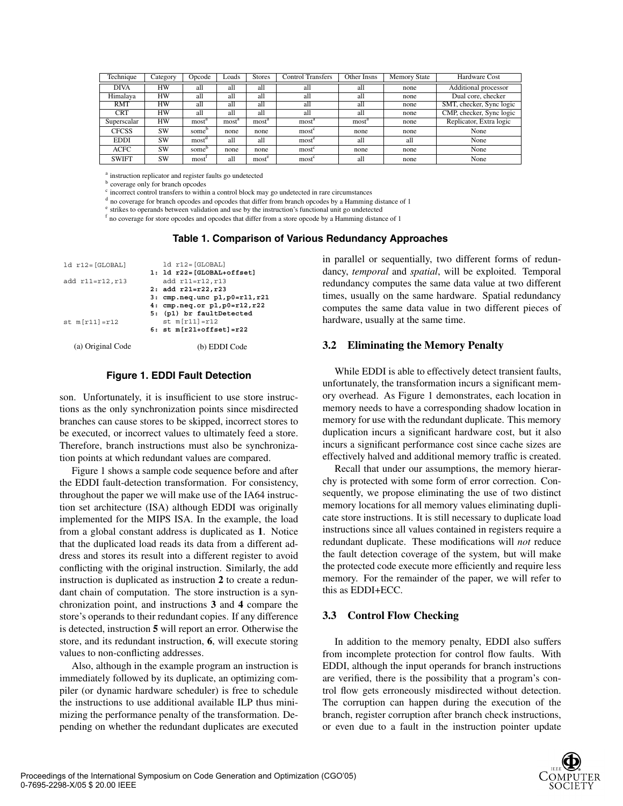| Technique    | Category  | Opcode            | Loads             | <b>Stores</b>     | <b>Control Transfers</b> | Other Insns       | <b>Memory State</b> | Hardware Cost            |
|--------------|-----------|-------------------|-------------------|-------------------|--------------------------|-------------------|---------------------|--------------------------|
| <b>DIVA</b>  | HW        | all               | all               | all               | all                      | all               | none                | Additional processor     |
| Himalaya     | HW        | all               | all               | all               | all                      | all               | none                | Dual core, checker       |
| <b>RMT</b>   | HW        | all               | all               | all               | all                      | all               | none                | SMT, checker, Sync logic |
| <b>CRT</b>   | <b>HW</b> | all               | all               | $a$ ll            | all                      | all               | none                | CMP, checker, Sync logic |
| Superscalar  | HW        | most <sup>a</sup> | most <sup>a</sup> | most <sup>a</sup> | most <sup>a</sup>        | most <sup>a</sup> | none                | Replicator, Extra logic  |
| <b>CFCSS</b> | <b>SW</b> | some <sup>b</sup> | none              | none              | most <sup>c</sup>        | none              | none                | None                     |
| <b>EDDI</b>  | <b>SW</b> | most <sup>a</sup> | all               | all               | most <sup>e</sup>        | all               | all                 | None                     |
| <b>ACFC</b>  | SW        | some <sup>b</sup> | none              | none              | most                     | none              | none                | None                     |
| <b>SWIFT</b> | SW        | most <sup>1</sup> | all               | most <sup>e</sup> | most <sup>c</sup>        | all               | none                | None                     |

<sup>a</sup> instruction replicator and register faults go undetected

<sup>b</sup> coverage only for branch opcodes

<sup>c</sup> incorrect control transfers to within a control block may go undetected in rare circumstances

<sup>d</sup> no coverage for branch opcodes and opcodes that differ from branch opcodes by a Hamming distance of 1

<sup>e</sup> strikes to operands between validation and use by the instruction's functional unit go undetected

<sup>f</sup> no coverage for store opcodes and opcodes that differ from a store opcode by a Hamming distance of 1

#### **Table 1. Comparison of Various Redundancy Approaches**

| ld r12=[GLOBAL]    | ld r12=[GLOBAL]                      |
|--------------------|--------------------------------------|
|                    | 1: 1d r22=[GLOBAL+offset]            |
| add $r11=r12, r13$ | add r11=r12, r13                     |
|                    | 2: $add r21=r22.r23$                 |
|                    | $3:$ cmp.neq.unc $p1, p0 = r11, r21$ |
|                    | 4: cmp.neq.or $p1, p0=r12, r22$      |
|                    | 5: (p1) br faultDetected             |
| $st$ $m[r11]=r12$  | $st$ $m[r11]=r12$                    |
|                    | 6: st $m[r21+offset] = r22$          |
| (a) Original Code  | (b) EDDI Code                        |

#### **Figure 1. EDDI Fault Detection**

son. Unfortunately, it is insufficient to use store instructions as the only synchronization points since misdirected branches can cause stores to be skipped, incorrect stores to be executed, or incorrect values to ultimately feed a store. Therefore, branch instructions must also be synchronization points at which redundant values are compared.

Figure 1 shows a sample code sequence before and after the EDDI fault-detection transformation. For consistency, throughout the paper we will make use of the IA64 instruction set architecture (ISA) although EDDI was originally implemented for the MIPS ISA. In the example, the load from a global constant address is duplicated as **1**. Notice that the duplicated load reads its data from a different address and stores its result into a different register to avoid conflicting with the original instruction. Similarly, the add instruction is duplicated as instruction **2** to create a redundant chain of computation. The store instruction is a synchronization point, and instructions **3** and **4** compare the store's operands to their redundant copies. If any difference is detected, instruction **5** will report an error. Otherwise the store, and its redundant instruction, **6**, will execute storing values to non-conflicting addresses.

Also, although in the example program an instruction is immediately followed by its duplicate, an optimizing compiler (or dynamic hardware scheduler) is free to schedule the instructions to use additional available ILP thus minimizing the performance penalty of the transformation. Depending on whether the redundant duplicates are executed in parallel or sequentially, two different forms of redundancy, *temporal* and *spatial*, will be exploited. Temporal redundancy computes the same data value at two different times, usually on the same hardware. Spatial redundancy computes the same data value in two different pieces of hardware, usually at the same time.

#### **3.2 Eliminating the Memory Penalty**

While EDDI is able to effectively detect transient faults, unfortunately, the transformation incurs a significant memory overhead. As Figure 1 demonstrates, each location in memory needs to have a corresponding shadow location in memory for use with the redundant duplicate. This memory duplication incurs a significant hardware cost, but it also incurs a significant performance cost since cache sizes are effectively halved and additional memory traffic is created.

Recall that under our assumptions, the memory hierarchy is protected with some form of error correction. Consequently, we propose eliminating the use of two distinct memory locations for all memory values eliminating duplicate store instructions. It is still necessary to duplicate load instructions since all values contained in registers require a redundant duplicate. These modifications will *not* reduce the fault detection coverage of the system, but will make the protected code execute more efficiently and require less memory. For the remainder of the paper, we will refer to this as EDDI+ECC.

#### **3.3 Control Flow Checking**

In addition to the memory penalty, EDDI also suffers from incomplete protection for control flow faults. With EDDI, although the input operands for branch instructions are verified, there is the possibility that a program's control flow gets erroneously misdirected without detection. The corruption can happen during the execution of the branch, register corruption after branch check instructions, or even due to a fault in the instruction pointer update

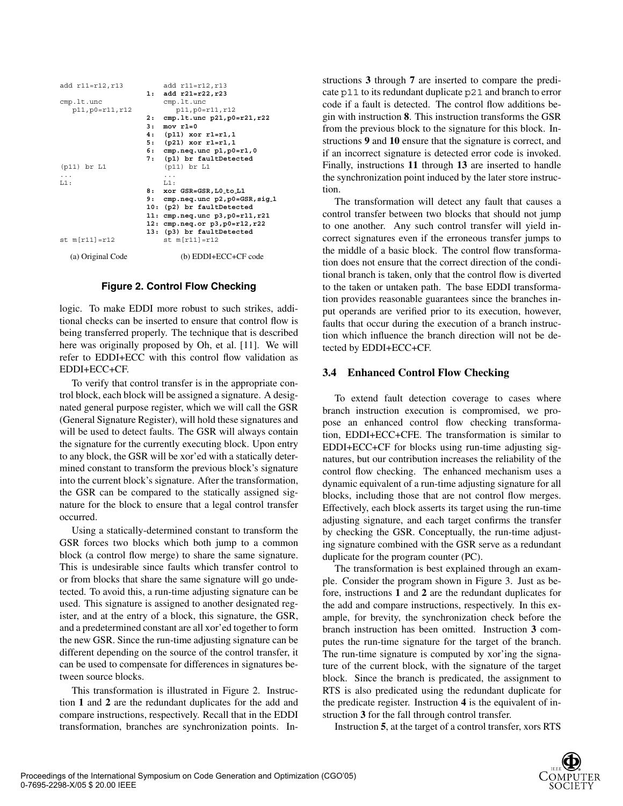| $add r11=r12, r13$  |    | add r11=r12, r13                  |
|---------------------|----|-----------------------------------|
|                     | 1: | add $r21 = r22, r23$              |
| cmp.lt.unc          |    | cmp.lt.unc                        |
| p11, p0=r11, r12    |    | p11, p0=r11, r12                  |
|                     | 2: | $cmp.lt.$ unc $p21, p0=r21, r22$  |
|                     | 3: | $mov r1=0$                        |
|                     |    | 4: $(p11)$ xor $r1=r1,1$          |
|                     |    | 5: $(p21)$ xor $r1=r1,1$          |
|                     | 6: | $cmp.net.$ unc $p1.$ $p0=r1.0$    |
|                     | 7: | (p1) br faultDetected             |
| $(p11)$ br $L1$     |    | $(p11)$ br $L1$                   |
| $\cdots$            |    | $\cdots$                          |
| L1:                 |    | $T1$ :                            |
|                     | 8: | xor GSR=GSR, L0_to_L1             |
|                     | 9: | cmp.neq.unc p2, p0=GSR, sig_1     |
|                     |    | 10: (p2) br faultDetected         |
|                     |    | 11: $cmp.neq.unc p3, p0=r11, r21$ |
|                     |    | 12: $cmp.neq. or p3, p0=r12, r22$ |
|                     |    | 13: (p3) br faultDetected         |
| $st$ $m[r11] = r12$ |    | $st$ $m[r11] = r12$               |
| (a) Original Code   |    | (b) EDDI+ECC+CF code              |

**Figure 2. Control Flow Checking**

logic. To make EDDI more robust to such strikes, additional checks can be inserted to ensure that control flow is being transferred properly. The technique that is described here was originally proposed by Oh, et al. [11]. We will refer to EDDI+ECC with this control flow validation as EDDI+ECC+CF.

To verify that control transfer is in the appropriate control block, each block will be assigned a signature. A designated general purpose register, which we will call the GSR (General Signature Register), will hold these signatures and will be used to detect faults. The GSR will always contain the signature for the currently executing block. Upon entry to any block, the GSR will be xor'ed with a statically determined constant to transform the previous block's signature into the current block's signature. After the transformation, the GSR can be compared to the statically assigned signature for the block to ensure that a legal control transfer occurred.

Using a statically-determined constant to transform the GSR forces two blocks which both jump to a common block (a control flow merge) to share the same signature. This is undesirable since faults which transfer control to or from blocks that share the same signature will go undetected. To avoid this, a run-time adjusting signature can be used. This signature is assigned to another designated register, and at the entry of a block, this signature, the GSR, and a predetermined constant are all xor'ed together to form the new GSR. Since the run-time adjusting signature can be different depending on the source of the control transfer, it can be used to compensate for differences in signatures between source blocks.

This transformation is illustrated in Figure 2. Instruction **1** and **2** are the redundant duplicates for the add and compare instructions, respectively. Recall that in the EDDI transformation, branches are synchronization points. In-

structions **3** through **7** are inserted to compare the predicate p11 to its redundant duplicate p21 and branch to error code if a fault is detected. The control flow additions begin with instruction **8**. This instruction transforms the GSR from the previous block to the signature for this block. Instructions **9** and **10** ensure that the signature is correct, and if an incorrect signature is detected error code is invoked. Finally, instructions **11** through **13** are inserted to handle the synchronization point induced by the later store instruction.

The transformation will detect any fault that causes a control transfer between two blocks that should not jump to one another. Any such control transfer will yield incorrect signatures even if the erroneous transfer jumps to the middle of a basic block. The control flow transformation does not ensure that the correct direction of the conditional branch is taken, only that the control flow is diverted to the taken or untaken path. The base EDDI transformation provides reasonable guarantees since the branches input operands are verified prior to its execution, however, faults that occur during the execution of a branch instruction which influence the branch direction will not be detected by EDDI+ECC+CF.

### **3.4 Enhanced Control Flow Checking**

To extend fault detection coverage to cases where branch instruction execution is compromised, we propose an enhanced control flow checking transformation, EDDI+ECC+CFE. The transformation is similar to EDDI+ECC+CF for blocks using run-time adjusting signatures, but our contribution increases the reliability of the control flow checking. The enhanced mechanism uses a dynamic equivalent of a run-time adjusting signature for all blocks, including those that are not control flow merges. Effectively, each block asserts its target using the run-time adjusting signature, and each target confirms the transfer by checking the GSR. Conceptually, the run-time adjusting signature combined with the GSR serve as a redundant duplicate for the program counter (PC).

The transformation is best explained through an example. Consider the program shown in Figure 3. Just as before, instructions **1** and **2** are the redundant duplicates for the add and compare instructions, respectively. In this example, for brevity, the synchronization check before the branch instruction has been omitted. Instruction **3** computes the run-time signature for the target of the branch. The run-time signature is computed by xor'ing the signature of the current block, with the signature of the target block. Since the branch is predicated, the assignment to RTS is also predicated using the redundant duplicate for the predicate register. Instruction **4** is the equivalent of instruction **3** for the fall through control transfer.

Instruction **5**, at the target of a control transfer, xors RTS

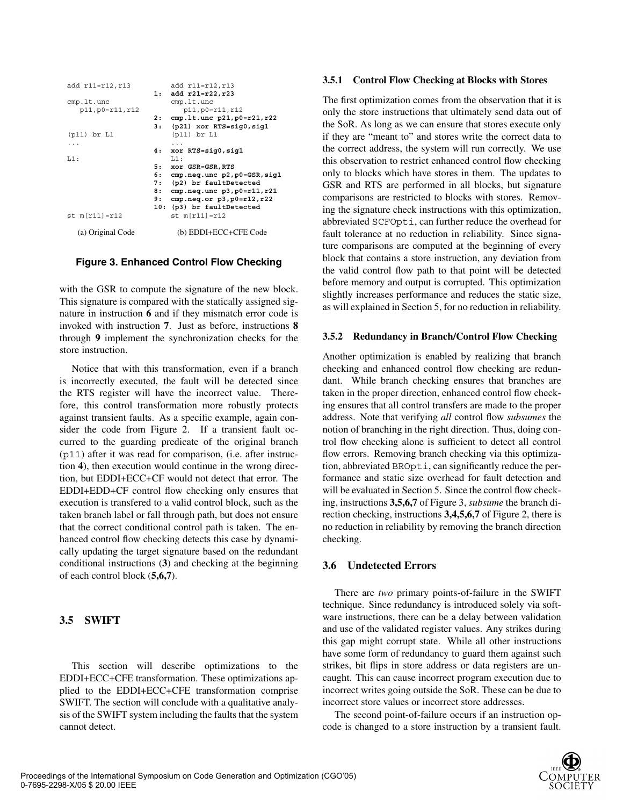| add r11=r12, r13  |     | add r11=r12, r13               |
|-------------------|-----|--------------------------------|
|                   | 1:  | add $r21 = r22, r23$           |
| cmp.lt.unc        |     | cmp.lt.unc                     |
| p11, p0=r11, r12  |     | p11, p0=r11, r12               |
|                   | 2:  | $cmp.lt.unc p21, p0=r21, r22$  |
|                   | 3:  | $(p21)$ xor RTS=sig0, sig1     |
| $(p11)$ br L1     |     | $(p11)$ br L1                  |
| .                 |     | .                              |
|                   | 4 : | xor RTS=sig0,sig1              |
| L1:               |     | L1:                            |
|                   | 5:  | xor GSR=GSR, RTS               |
|                   | 6:  | cmp.neq.unc p2, p0=GSR, sig1   |
|                   | 7:  | (p2) br faultDetected          |
|                   | 8:  | $cmp.read.unc p3, p0=r11, r21$ |
|                   | 9:  | $cmp.neq. or p3, p0=r12, r22$  |
|                   |     | 10: (p3) br faultDetected      |
| $st m[r11] = r12$ |     | st m[r11]=r12                  |
| (a) Original Code |     | (b) EDDI+ECC+CFE Code          |

#### **Figure 3. Enhanced Control Flow Checking**

with the GSR to compute the signature of the new block. This signature is compared with the statically assigned signature in instruction **6** and if they mismatch error code is invoked with instruction **7**. Just as before, instructions **8** through **9** implement the synchronization checks for the store instruction.

Notice that with this transformation, even if a branch is incorrectly executed, the fault will be detected since the RTS register will have the incorrect value. Therefore, this control transformation more robustly protects against transient faults. As a specific example, again consider the code from Figure 2. If a transient fault occurred to the guarding predicate of the original branch (p11) after it was read for comparison, (i.e. after instruction **4**), then execution would continue in the wrong direction, but EDDI+ECC+CF would not detect that error. The EDDI+EDD+CF control flow checking only ensures that execution is transfered to a valid control block, such as the taken branch label or fall through path, but does not ensure that the correct conditional control path is taken. The enhanced control flow checking detects this case by dynamically updating the target signature based on the redundant conditional instructions (**3**) and checking at the beginning of each control block (**5,6,7**).

### **3.5 SWIFT**

This section will describe optimizations to the EDDI+ECC+CFE transformation. These optimizations applied to the EDDI+ECC+CFE transformation comprise SWIFT. The section will conclude with a qualitative analysis of the SWIFT system including the faults that the system cannot detect.

#### **3.5.1 Control Flow Checking at Blocks with Stores**

The first optimization comes from the observation that it is only the store instructions that ultimately send data out of the SoR. As long as we can ensure that stores execute only if they are "meant to" and stores write the correct data to the correct address, the system will run correctly. We use this observation to restrict enhanced control flow checking only to blocks which have stores in them. The updates to GSR and RTS are performed in all blocks, but signature comparisons are restricted to blocks with stores. Removing the signature check instructions with this optimization, abbreviated SCFOpti, can further reduce the overhead for fault tolerance at no reduction in reliability. Since signature comparisons are computed at the beginning of every block that contains a store instruction, any deviation from the valid control flow path to that point will be detected before memory and output is corrupted. This optimization slightly increases performance and reduces the static size, as will explained in Section 5, for no reduction in reliability.

#### **3.5.2 Redundancy in Branch/Control Flow Checking**

Another optimization is enabled by realizing that branch checking and enhanced control flow checking are redundant. While branch checking ensures that branches are taken in the proper direction, enhanced control flow checking ensures that all control transfers are made to the proper address. Note that verifying *all* control flow *subsumes* the notion of branching in the right direction. Thus, doing control flow checking alone is sufficient to detect all control flow errors. Removing branch checking via this optimization, abbreviated BROpti, can significantly reduce the performance and static size overhead for fault detection and will be evaluated in Section 5. Since the control flow checking, instructions **3,5,6,7** of Figure 3, *subsume* the branch direction checking, instructions **3,4,5,6,7** of Figure 2, there is no reduction in reliability by removing the branch direction checking.

### **3.6 Undetected Errors**

There are *two* primary points-of-failure in the SWIFT technique. Since redundancy is introduced solely via software instructions, there can be a delay between validation and use of the validated register values. Any strikes during this gap might corrupt state. While all other instructions have some form of redundancy to guard them against such strikes, bit flips in store address or data registers are uncaught. This can cause incorrect program execution due to incorrect writes going outside the SoR. These can be due to incorrect store values or incorrect store addresses.

The second point-of-failure occurs if an instruction opcode is changed to a store instruction by a transient fault.

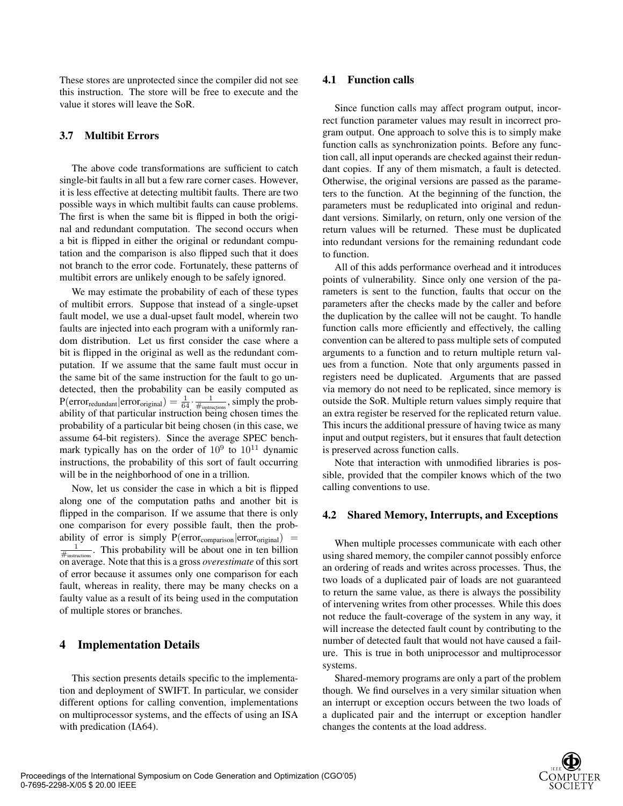These stores are unprotected since the compiler did not see this instruction. The store will be free to execute and the value it stores will leave the SoR.

### **3.7 Multibit Errors**

The above code transformations are sufficient to catch single-bit faults in all but a few rare corner cases. However, it is less effective at detecting multibit faults. There are two possible ways in which multibit faults can cause problems. The first is when the same bit is flipped in both the original and redundant computation. The second occurs when a bit is flipped in either the original or redundant computation and the comparison is also flipped such that it does not branch to the error code. Fortunately, these patterns of multibit errors are unlikely enough to be safely ignored.

We may estimate the probability of each of these types of multibit errors. Suppose that instead of a single-upset fault model, we use a dual-upset fault model, wherein two faults are injected into each program with a uniformly random distribution. Let us first consider the case where a bit is flipped in the original as well as the redundant computation. If we assume that the same fault must occur in the same bit of the same instruction for the fault to go undetected, then the probability can be easily computed as  $\textrm{P}(\textrm{error}_{\textrm{redundant}}|\textrm{error}_{\textrm{original}})=\frac{1}{64}\cdot\frac{1}{\#_{\textrm{instructions}}}, \textrm{simply the prob-}$ ability of that particular instruction being chosen times the probability of a particular bit being chosen (in this case, we assume 64-bit registers). Since the average SPEC benchmark typically has on the order of  $10^9$  to  $10^{11}$  dynamic instructions, the probability of this sort of fault occurring will be in the neighborhood of one in a trillion.

Now, let us consider the case in which a bit is flipped along one of the computation paths and another bit is flipped in the comparison. If we assume that there is only one comparison for every possible fault, then the probability of error is simply P(error<sub>comparison</sub>  $|error_{original}\rangle$  =  $\frac{1}{\#_{\text{ instructions}}}$ . This probability will be about one in ten billion on average. Note that this is a gross *overestimate* of this sort of error because it assumes only one comparison for each fault, whereas in reality, there may be many checks on a faulty value as a result of its being used in the computation of multiple stores or branches.

## **4 Implementation Details**

This section presents details specific to the implementation and deployment of SWIFT. In particular, we consider different options for calling convention, implementations on multiprocessor systems, and the effects of using an ISA with predication (IA64).

#### **4.1 Function calls**

Since function calls may affect program output, incorrect function parameter values may result in incorrect program output. One approach to solve this is to simply make function calls as synchronization points. Before any function call, all input operands are checked against their redundant copies. If any of them mismatch, a fault is detected. Otherwise, the original versions are passed as the parameters to the function. At the beginning of the function, the parameters must be reduplicated into original and redundant versions. Similarly, on return, only one version of the return values will be returned. These must be duplicated into redundant versions for the remaining redundant code to function.

All of this adds performance overhead and it introduces points of vulnerability. Since only one version of the parameters is sent to the function, faults that occur on the parameters after the checks made by the caller and before the duplication by the callee will not be caught. To handle function calls more efficiently and effectively, the calling convention can be altered to pass multiple sets of computed arguments to a function and to return multiple return values from a function. Note that only arguments passed in registers need be duplicated. Arguments that are passed via memory do not need to be replicated, since memory is outside the SoR. Multiple return values simply require that an extra register be reserved for the replicated return value. This incurs the additional pressure of having twice as many input and output registers, but it ensures that fault detection is preserved across function calls.

Note that interaction with unmodified libraries is possible, provided that the compiler knows which of the two calling conventions to use.

#### **4.2 Shared Memory, Interrupts, and Exceptions**

When multiple processes communicate with each other using shared memory, the compiler cannot possibly enforce an ordering of reads and writes across processes. Thus, the two loads of a duplicated pair of loads are not guaranteed to return the same value, as there is always the possibility of intervening writes from other processes. While this does not reduce the fault-coverage of the system in any way, it will increase the detected fault count by contributing to the number of detected fault that would not have caused a failure. This is true in both uniprocessor and multiprocessor systems.

Shared-memory programs are only a part of the problem though. We find ourselves in a very similar situation when an interrupt or exception occurs between the two loads of a duplicated pair and the interrupt or exception handler changes the contents at the load address.

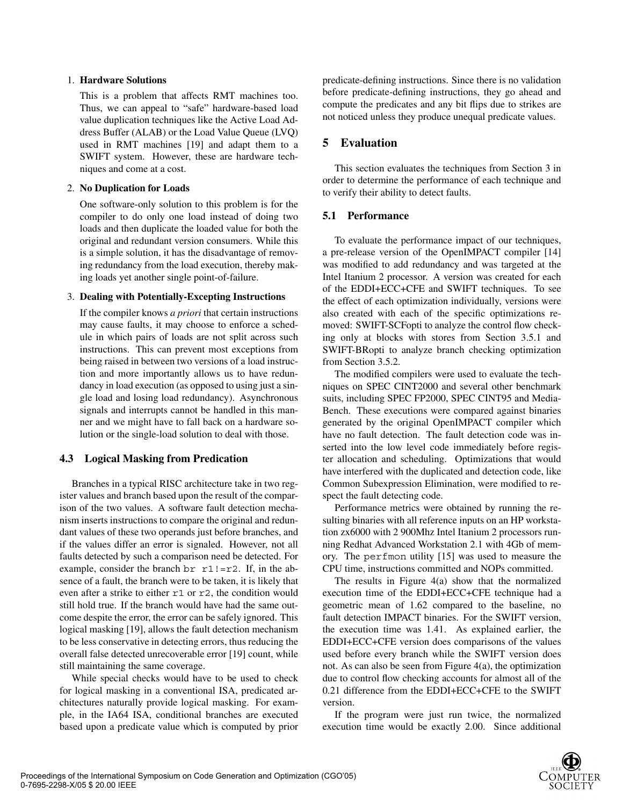### 1. **Hardware Solutions**

This is a problem that affects RMT machines too. Thus, we can appeal to "safe" hardware-based load value duplication techniques like the Active Load Address Buffer (ALAB) or the Load Value Queue (LVQ) used in RMT machines [19] and adapt them to a SWIFT system. However, these are hardware techniques and come at a cost.

## 2. **No Duplication for Loads**

One software-only solution to this problem is for the compiler to do only one load instead of doing two loads and then duplicate the loaded value for both the original and redundant version consumers. While this is a simple solution, it has the disadvantage of removing redundancy from the load execution, thereby making loads yet another single point-of-failure.

## 3. **Dealing with Potentially-Excepting Instructions**

If the compiler knows *a priori* that certain instructions may cause faults, it may choose to enforce a schedule in which pairs of loads are not split across such instructions. This can prevent most exceptions from being raised in between two versions of a load instruction and more importantly allows us to have redundancy in load execution (as opposed to using just a single load and losing load redundancy). Asynchronous signals and interrupts cannot be handled in this manner and we might have to fall back on a hardware solution or the single-load solution to deal with those.

# **4.3 Logical Masking from Predication**

Branches in a typical RISC architecture take in two register values and branch based upon the result of the comparison of the two values. A software fault detection mechanism inserts instructions to compare the original and redundant values of these two operands just before branches, and if the values differ an error is signaled. However, not all faults detected by such a comparison need be detected. For example, consider the branch  $br$   $r1! = r2$ . If, in the absence of a fault, the branch were to be taken, it is likely that even after a strike to either r1 or r2, the condition would still hold true. If the branch would have had the same outcome despite the error, the error can be safely ignored. This logical masking [19], allows the fault detection mechanism to be less conservative in detecting errors, thus reducing the overall false detected unrecoverable error [19] count, while still maintaining the same coverage.

While special checks would have to be used to check for logical masking in a conventional ISA, predicated architectures naturally provide logical masking. For example, in the IA64 ISA, conditional branches are executed based upon a predicate value which is computed by prior

predicate-defining instructions. Since there is no validation before predicate-defining instructions, they go ahead and compute the predicates and any bit flips due to strikes are not noticed unless they produce unequal predicate values.

# **5 Evaluation**

This section evaluates the techniques from Section 3 in order to determine the performance of each technique and to verify their ability to detect faults.

# **5.1 Performance**

To evaluate the performance impact of our techniques, a pre-release version of the OpenIMPACT compiler [14] was modified to add redundancy and was targeted at the Intel Itanium 2 processor. A version was created for each of the EDDI+ECC+CFE and SWIFT techniques. To see the effect of each optimization individually, versions were also created with each of the specific optimizations removed: SWIFT-SCFopti to analyze the control flow checking only at blocks with stores from Section 3.5.1 and SWIFT-BRopti to analyze branch checking optimization from Section 3.5.2.

The modified compilers were used to evaluate the techniques on SPEC CINT2000 and several other benchmark suits, including SPEC FP2000, SPEC CINT95 and Media-Bench. These executions were compared against binaries generated by the original OpenIMPACT compiler which have no fault detection. The fault detection code was inserted into the low level code immediately before register allocation and scheduling. Optimizations that would have interfered with the duplicated and detection code, like Common Subexpression Elimination, were modified to respect the fault detecting code.

Performance metrics were obtained by running the resulting binaries with all reference inputs on an HP workstation zx6000 with 2 900Mhz Intel Itanium 2 processors running Redhat Advanced Workstation 2.1 with 4Gb of memory. The perfmon utility [15] was used to measure the CPU time, instructions committed and NOPs committed.

The results in Figure 4(a) show that the normalized execution time of the EDDI+ECC+CFE technique had a geometric mean of 1.62 compared to the baseline, no fault detection IMPACT binaries. For the SWIFT version, the execution time was 1.41. As explained earlier, the EDDI+ECC+CFE version does comparisons of the values used before every branch while the SWIFT version does not. As can also be seen from Figure 4(a), the optimization due to control flow checking accounts for almost all of the 0.21 difference from the EDDI+ECC+CFE to the SWIFT version.

If the program were just run twice, the normalized execution time would be exactly 2.00. Since additional

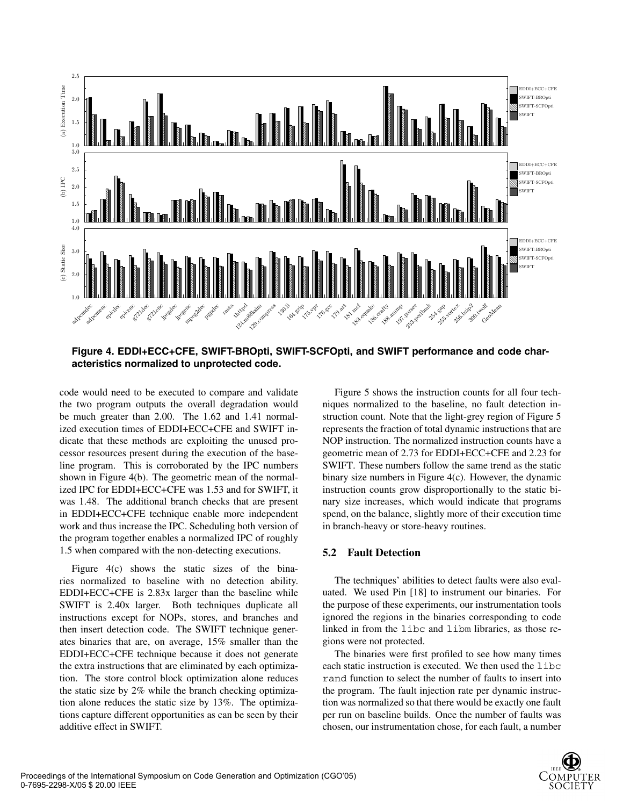

**Figure 4. EDDI+ECC+CFE, SWIFT-BROpti, SWIFT-SCFOpti, and SWIFT performance and code characteristics normalized to unprotected code.**

code would need to be executed to compare and validate the two program outputs the overall degradation would be much greater than 2.00. The 1.62 and 1.41 normalized execution times of EDDI+ECC+CFE and SWIFT indicate that these methods are exploiting the unused processor resources present during the execution of the baseline program. This is corroborated by the IPC numbers shown in Figure 4(b). The geometric mean of the normalized IPC for EDDI+ECC+CFE was 1.53 and for SWIFT, it was 1.48. The additional branch checks that are present in EDDI+ECC+CFE technique enable more independent work and thus increase the IPC. Scheduling both version of the program together enables a normalized IPC of roughly 1.5 when compared with the non-detecting executions.

Figure 4(c) shows the static sizes of the binaries normalized to baseline with no detection ability. EDDI+ECC+CFE is 2.83x larger than the baseline while SWIFT is 2.40x larger. Both techniques duplicate all instructions except for NOPs, stores, and branches and then insert detection code. The SWIFT technique generates binaries that are, on average, 15% smaller than the EDDI+ECC+CFE technique because it does not generate the extra instructions that are eliminated by each optimization. The store control block optimization alone reduces the static size by 2% while the branch checking optimization alone reduces the static size by 13%. The optimizations capture different opportunities as can be seen by their additive effect in SWIFT.

Figure 5 shows the instruction counts for all four techniques normalized to the baseline, no fault detection instruction count. Note that the light-grey region of Figure 5 represents the fraction of total dynamic instructions that are NOP instruction. The normalized instruction counts have a geometric mean of 2.73 for EDDI+ECC+CFE and 2.23 for SWIFT. These numbers follow the same trend as the static binary size numbers in Figure 4(c). However, the dynamic instruction counts grow disproportionally to the static binary size increases, which would indicate that programs spend, on the balance, slightly more of their execution time in branch-heavy or store-heavy routines.

### **5.2 Fault Detection**

The techniques' abilities to detect faults were also evaluated. We used Pin [18] to instrument our binaries. For the purpose of these experiments, our instrumentation tools ignored the regions in the binaries corresponding to code linked in from the libc and libm libraries, as those regions were not protected.

The binaries were first profiled to see how many times each static instruction is executed. We then used the libc rand function to select the number of faults to insert into the program. The fault injection rate per dynamic instruction was normalized so that there would be exactly one fault per run on baseline builds. Once the number of faults was chosen, our instrumentation chose, for each fault, a number

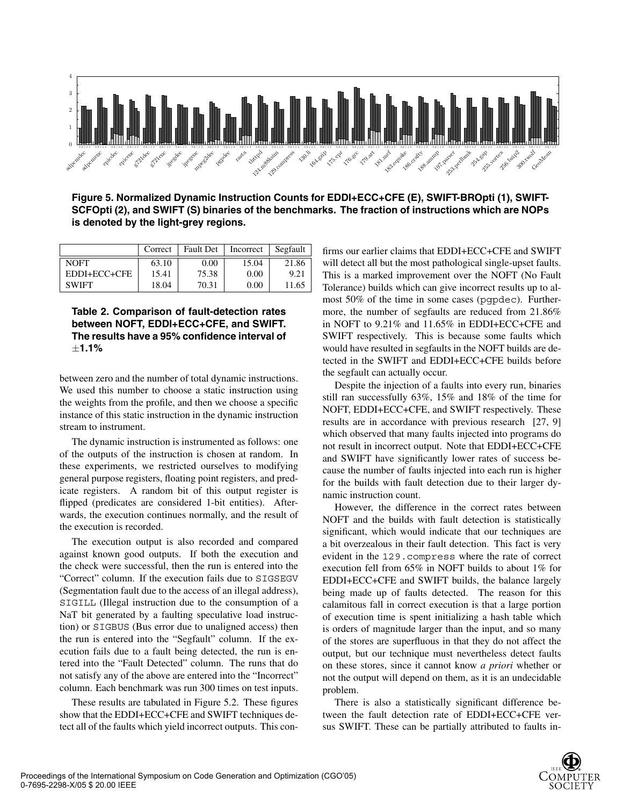

**Figure 5. Normalized Dynamic Instruction Counts for EDDI+ECC+CFE (E), SWIFT-BROpti (1), SWIFT-SCFOpti (2), and SWIFT (S) binaries of the benchmarks. The fraction of instructions which are NOPs is denoted by the light-grey regions.**

|              | Correct | <b>Fault Det</b> | Incorrect | Segfault |
|--------------|---------|------------------|-----------|----------|
| <b>NOFT</b>  | 63.10   | 0.00             | 15.04     | 21.86    |
| EDDI+ECC+CFE | 15.41   | 75.38            | 0.00      | 9.21     |
| <b>SWIFT</b> | 18.04   | 70.31            | 0.00      | 11.65    |

## **Table 2. Comparison of fault-detection rates between NOFT, EDDI+ECC+CFE, and SWIFT. The results have a 95% confidence interval of** *±***1.1%**

between zero and the number of total dynamic instructions. We used this number to choose a static instruction using the weights from the profile, and then we choose a specific instance of this static instruction in the dynamic instruction stream to instrument.

The dynamic instruction is instrumented as follows: one of the outputs of the instruction is chosen at random. In these experiments, we restricted ourselves to modifying general purpose registers, floating point registers, and predicate registers. A random bit of this output register is flipped (predicates are considered 1-bit entities). Afterwards, the execution continues normally, and the result of the execution is recorded.

The execution output is also recorded and compared against known good outputs. If both the execution and the check were successful, then the run is entered into the "Correct" column. If the execution fails due to SIGSEGV (Segmentation fault due to the access of an illegal address), SIGILL (Illegal instruction due to the consumption of a NaT bit generated by a faulting speculative load instruction) or SIGBUS (Bus error due to unaligned access) then the run is entered into the "Segfault" column. If the execution fails due to a fault being detected, the run is entered into the "Fault Detected" column. The runs that do not satisfy any of the above are entered into the "Incorrect" column. Each benchmark was run 300 times on test inputs.

These results are tabulated in Figure 5.2. These figures show that the EDDI+ECC+CFE and SWIFT techniques detect all of the faults which yield incorrect outputs. This con-

firms our earlier claims that EDDI+ECC+CFE and SWIFT will detect all but the most pathological single-upset faults. This is a marked improvement over the NOFT (No Fault Tolerance) builds which can give incorrect results up to almost 50% of the time in some cases (pgpdec). Furthermore, the number of segfaults are reduced from 21.86% in NOFT to 9.21% and 11.65% in EDDI+ECC+CFE and SWIFT respectively. This is because some faults which would have resulted in segfaults in the NOFT builds are detected in the SWIFT and EDDI+ECC+CFE builds before the segfault can actually occur.

Despite the injection of a faults into every run, binaries still ran successfully 63%, 15% and 18% of the time for NOFT, EDDI+ECC+CFE, and SWIFT respectively. These results are in accordance with previous research [27, 9] which observed that many faults injected into programs do not result in incorrect output. Note that EDDI+ECC+CFE and SWIFT have significantly lower rates of success because the number of faults injected into each run is higher for the builds with fault detection due to their larger dynamic instruction count.

However, the difference in the correct rates between NOFT and the builds with fault detection is statistically significant, which would indicate that our techniques are a bit overzealous in their fault detection. This fact is very evident in the 129.compress where the rate of correct execution fell from 65% in NOFT builds to about 1% for EDDI+ECC+CFE and SWIFT builds, the balance largely being made up of faults detected. The reason for this calamitous fall in correct execution is that a large portion of execution time is spent initializing a hash table which is orders of magnitude larger than the input, and so many of the stores are superfluous in that they do not affect the output, but our technique must nevertheless detect faults on these stores, since it cannot know *a priori* whether or not the output will depend on them, as it is an undecidable problem.

There is also a statistically significant difference between the fault detection rate of EDDI+ECC+CFE versus SWIFT. These can be partially attributed to faults in-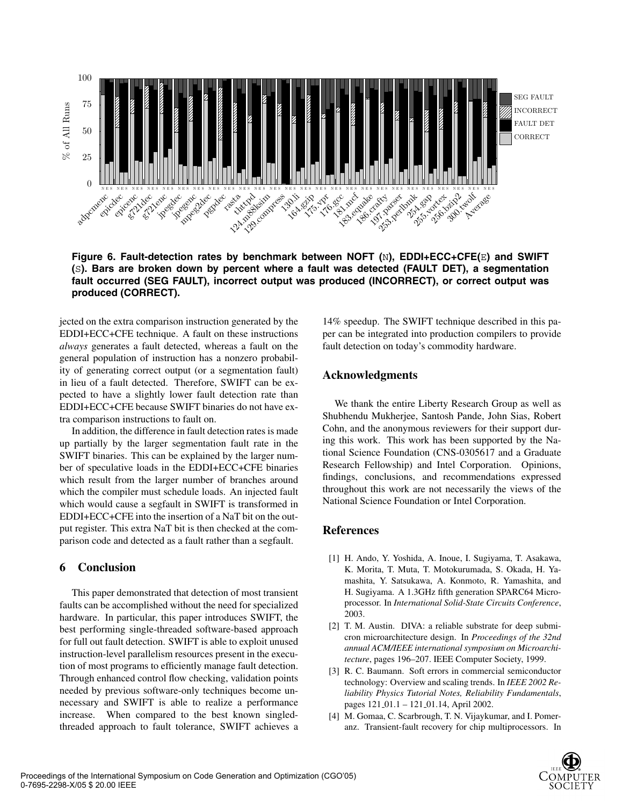

**Figure 6. Fault-detection rates by benchmark between NOFT (**N**), EDDI+ECC+CFE(**E**) and SWIFT (**S**). Bars are broken down by percent where a fault was detected (FAULT DET), a segmentation fault occurred (SEG FAULT), incorrect output was produced (INCORRECT), or correct output was produced (CORRECT).**

jected on the extra comparison instruction generated by the EDDI+ECC+CFE technique. A fault on these instructions *always* generates a fault detected, whereas a fault on the general population of instruction has a nonzero probability of generating correct output (or a segmentation fault) in lieu of a fault detected. Therefore, SWIFT can be expected to have a slightly lower fault detection rate than EDDI+ECC+CFE because SWIFT binaries do not have extra comparison instructions to fault on.

In addition, the difference in fault detection rates is made up partially by the larger segmentation fault rate in the SWIFT binaries. This can be explained by the larger number of speculative loads in the EDDI+ECC+CFE binaries which result from the larger number of branches around which the compiler must schedule loads. An injected fault which would cause a segfault in SWIFT is transformed in EDDI+ECC+CFE into the insertion of a NaT bit on the output register. This extra NaT bit is then checked at the comparison code and detected as a fault rather than a segfault.

### **6 Conclusion**

This paper demonstrated that detection of most transient faults can be accomplished without the need for specialized hardware. In particular, this paper introduces SWIFT, the best performing single-threaded software-based approach for full out fault detection. SWIFT is able to exploit unused instruction-level parallelism resources present in the execution of most programs to efficiently manage fault detection. Through enhanced control flow checking, validation points needed by previous software-only techniques become unnecessary and SWIFT is able to realize a performance increase. When compared to the best known singledthreaded approach to fault tolerance, SWIFT achieves a

14% speedup. The SWIFT technique described in this paper can be integrated into production compilers to provide fault detection on today's commodity hardware.

## **Acknowledgments**

We thank the entire Liberty Research Group as well as Shubhendu Mukherjee, Santosh Pande, John Sias, Robert Cohn, and the anonymous reviewers for their support during this work. This work has been supported by the National Science Foundation (CNS-0305617 and a Graduate Research Fellowship) and Intel Corporation. Opinions, findings, conclusions, and recommendations expressed throughout this work are not necessarily the views of the National Science Foundation or Intel Corporation.

### **References**

- [1] H. Ando, Y. Yoshida, A. Inoue, I. Sugiyama, T. Asakawa, K. Morita, T. Muta, T. Motokurumada, S. Okada, H. Yamashita, Y. Satsukawa, A. Konmoto, R. Yamashita, and H. Sugiyama. A 1.3GHz fifth generation SPARC64 Microprocessor. In *International Solid-State Circuits Conference*, 2003.
- [2] T. M. Austin. DIVA: a reliable substrate for deep submicron microarchitecture design. In *Proceedings of the 32nd annual ACM/IEEE international symposium on Microarchitecture*, pages 196–207. IEEE Computer Society, 1999.
- [3] R. C. Baumann. Soft errors in commercial semiconductor technology: Overview and scaling trends. In *IEEE 2002 Reliability Physics Tutorial Notes, Reliability Fundamentals*, pages 121<sub>-01.1</sub> – 121<sub>-01</sub>.14, April 2002.
- [4] M. Gomaa, C. Scarbrough, T. N. Vijaykumar, and I. Pomeranz. Transient-fault recovery for chip multiprocessors. In